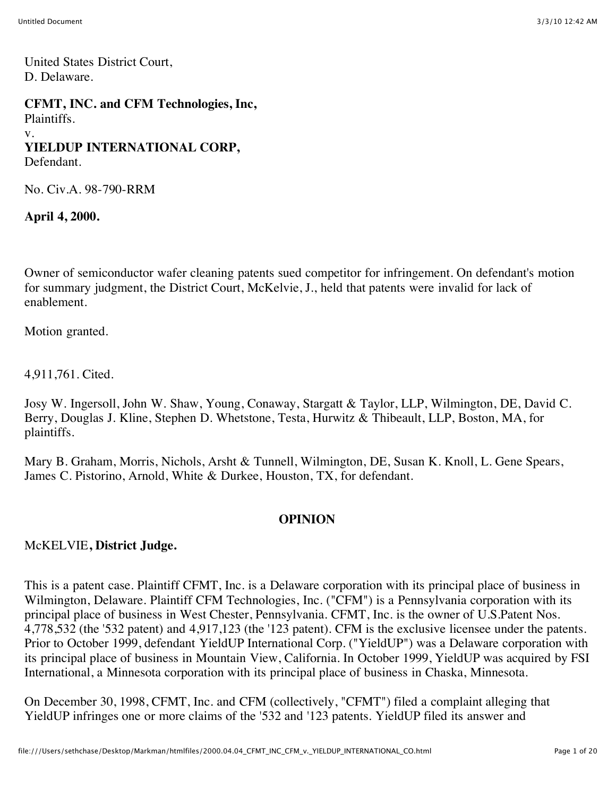United States District Court, D. Delaware.

**CFMT, INC. and CFM Technologies, Inc,** Plaintiffs. v. **YIELDUP INTERNATIONAL CORP,** Defendant.

No. Civ.A. 98-790-RRM

**April 4, 2000.**

Owner of semiconductor wafer cleaning patents sued competitor for infringement. On defendant's motion for summary judgment, the District Court, McKelvie, J., held that patents were invalid for lack of enablement.

Motion granted.

4,911,761. Cited.

Josy W. Ingersoll, John W. Shaw, Young, Conaway, Stargatt & Taylor, LLP, Wilmington, DE, David C. Berry, Douglas J. Kline, Stephen D. Whetstone, Testa, Hurwitz & Thibeault, LLP, Boston, MA, for plaintiffs.

Mary B. Graham, Morris, Nichols, Arsht & Tunnell, Wilmington, DE, Susan K. Knoll, L. Gene Spears, James C. Pistorino, Arnold, White & Durkee, Houston, TX, for defendant.

#### **OPINION**

#### McKELVIE**, District Judge.**

This is a patent case. Plaintiff CFMT, Inc. is a Delaware corporation with its principal place of business in Wilmington, Delaware. Plaintiff CFM Technologies, Inc. ("CFM") is a Pennsylvania corporation with its principal place of business in West Chester, Pennsylvania. CFMT, Inc. is the owner of U.S.Patent Nos. 4,778,532 (the '532 patent) and 4,917,123 (the '123 patent). CFM is the exclusive licensee under the patents. Prior to October 1999, defendant YieldUP International Corp. ("YieldUP") was a Delaware corporation with its principal place of business in Mountain View, California. In October 1999, YieldUP was acquired by FSI International, a Minnesota corporation with its principal place of business in Chaska, Minnesota.

On December 30, 1998, CFMT, Inc. and CFM (collectively, "CFMT") filed a complaint alleging that YieldUP infringes one or more claims of the '532 and '123 patents. YieldUP filed its answer and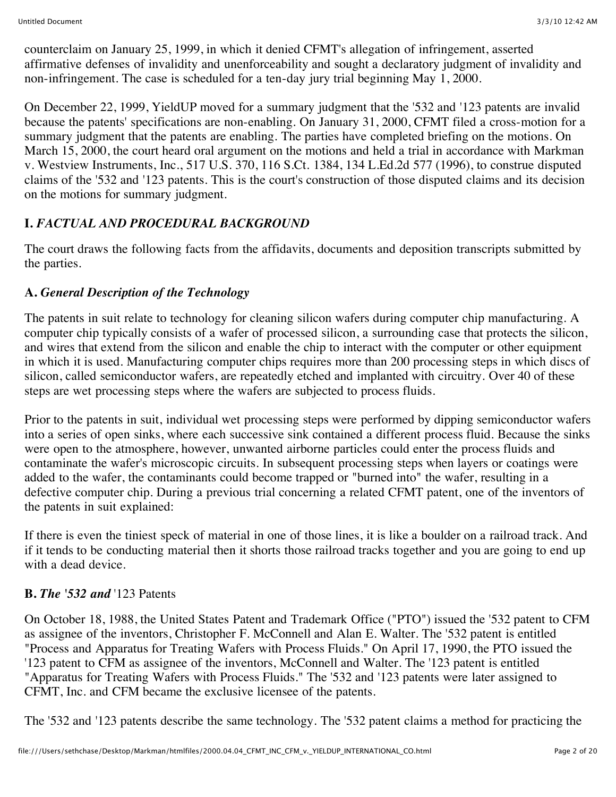counterclaim on January 25, 1999, in which it denied CFMT's allegation of infringement, asserted affirmative defenses of invalidity and unenforceability and sought a declaratory judgment of invalidity and non-infringement. The case is scheduled for a ten-day jury trial beginning May 1, 2000.

On December 22, 1999, YieldUP moved for a summary judgment that the '532 and '123 patents are invalid because the patents' specifications are non-enabling. On January 31, 2000, CFMT filed a cross-motion for a summary judgment that the patents are enabling. The parties have completed briefing on the motions. On March 15, 2000, the court heard oral argument on the motions and held a trial in accordance with Markman v. Westview Instruments, Inc., 517 U.S. 370, 116 S.Ct. 1384, 134 L.Ed.2d 577 (1996), to construe disputed claims of the '532 and '123 patents. This is the court's construction of those disputed claims and its decision on the motions for summary judgment.

# **I.** *FACTUAL AND PROCEDURAL BACKGROUND*

The court draws the following facts from the affidavits, documents and deposition transcripts submitted by the parties.

# **A.** *General Description of the Technology*

The patents in suit relate to technology for cleaning silicon wafers during computer chip manufacturing. A computer chip typically consists of a wafer of processed silicon, a surrounding case that protects the silicon, and wires that extend from the silicon and enable the chip to interact with the computer or other equipment in which it is used. Manufacturing computer chips requires more than 200 processing steps in which discs of silicon, called semiconductor wafers, are repeatedly etched and implanted with circuitry. Over 40 of these steps are wet processing steps where the wafers are subjected to process fluids.

Prior to the patents in suit, individual wet processing steps were performed by dipping semiconductor wafers into a series of open sinks, where each successive sink contained a different process fluid. Because the sinks were open to the atmosphere, however, unwanted airborne particles could enter the process fluids and contaminate the wafer's microscopic circuits. In subsequent processing steps when layers or coatings were added to the wafer, the contaminants could become trapped or "burned into" the wafer, resulting in a defective computer chip. During a previous trial concerning a related CFMT patent, one of the inventors of the patents in suit explained:

If there is even the tiniest speck of material in one of those lines, it is like a boulder on a railroad track. And if it tends to be conducting material then it shorts those railroad tracks together and you are going to end up with a dead device.

#### **B.** *The '532 and* '123 Patents

On October 18, 1988, the United States Patent and Trademark Office ("PTO") issued the '532 patent to CFM as assignee of the inventors, Christopher F. McConnell and Alan E. Walter. The '532 patent is entitled "Process and Apparatus for Treating Wafers with Process Fluids." On April 17, 1990, the PTO issued the '123 patent to CFM as assignee of the inventors, McConnell and Walter. The '123 patent is entitled "Apparatus for Treating Wafers with Process Fluids." The '532 and '123 patents were later assigned to CFMT, Inc. and CFM became the exclusive licensee of the patents.

The '532 and '123 patents describe the same technology. The '532 patent claims a method for practicing the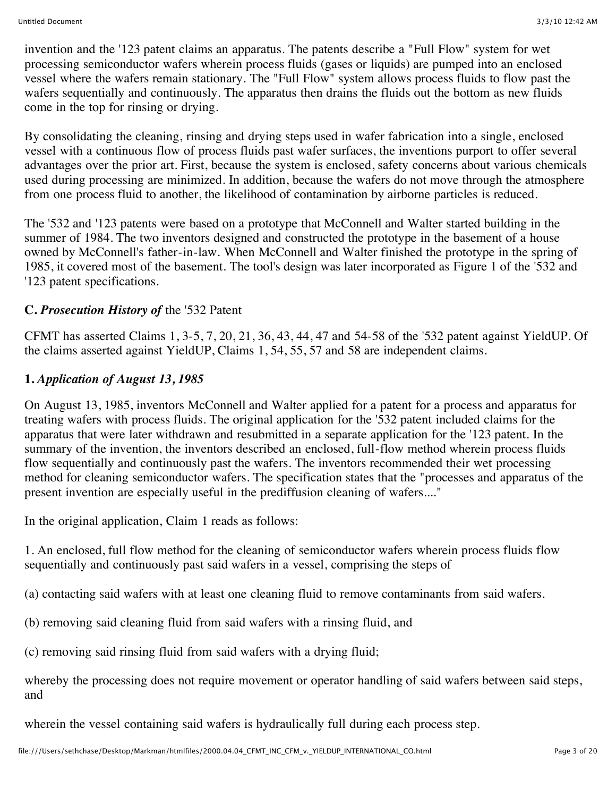invention and the '123 patent claims an apparatus. The patents describe a "Full Flow" system for wet processing semiconductor wafers wherein process fluids (gases or liquids) are pumped into an enclosed vessel where the wafers remain stationary. The "Full Flow" system allows process fluids to flow past the wafers sequentially and continuously. The apparatus then drains the fluids out the bottom as new fluids come in the top for rinsing or drying.

By consolidating the cleaning, rinsing and drying steps used in wafer fabrication into a single, enclosed vessel with a continuous flow of process fluids past wafer surfaces, the inventions purport to offer several advantages over the prior art. First, because the system is enclosed, safety concerns about various chemicals used during processing are minimized. In addition, because the wafers do not move through the atmosphere from one process fluid to another, the likelihood of contamination by airborne particles is reduced.

The '532 and '123 patents were based on a prototype that McConnell and Walter started building in the summer of 1984. The two inventors designed and constructed the prototype in the basement of a house owned by McConnell's father-in-law. When McConnell and Walter finished the prototype in the spring of 1985, it covered most of the basement. The tool's design was later incorporated as Figure 1 of the '532 and '123 patent specifications.

#### **C.** *Prosecution History of* the '532 Patent

CFMT has asserted Claims 1, 3-5, 7, 20, 21, 36, 43, 44, 47 and 54-58 of the '532 patent against YieldUP. Of the claims asserted against YieldUP, Claims 1, 54, 55, 57 and 58 are independent claims.

#### **1.** *Application of August 13, 1985*

On August 13, 1985, inventors McConnell and Walter applied for a patent for a process and apparatus for treating wafers with process fluids. The original application for the '532 patent included claims for the apparatus that were later withdrawn and resubmitted in a separate application for the '123 patent. In the summary of the invention, the inventors described an enclosed, full-flow method wherein process fluids flow sequentially and continuously past the wafers. The inventors recommended their wet processing method for cleaning semiconductor wafers. The specification states that the "processes and apparatus of the present invention are especially useful in the prediffusion cleaning of wafers...."

In the original application, Claim 1 reads as follows:

1. An enclosed, full flow method for the cleaning of semiconductor wafers wherein process fluids flow sequentially and continuously past said wafers in a vessel, comprising the steps of

(a) contacting said wafers with at least one cleaning fluid to remove contaminants from said wafers.

(b) removing said cleaning fluid from said wafers with a rinsing fluid, and

(c) removing said rinsing fluid from said wafers with a drying fluid;

whereby the processing does not require movement or operator handling of said wafers between said steps, and

wherein the vessel containing said wafers is hydraulically full during each process step.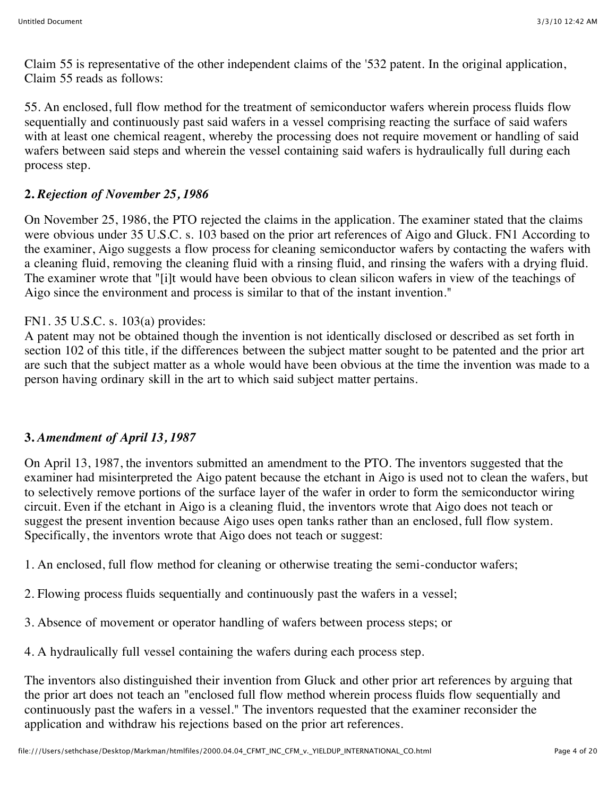Claim 55 is representative of the other independent claims of the '532 patent. In the original application, Claim 55 reads as follows:

55. An enclosed, full flow method for the treatment of semiconductor wafers wherein process fluids flow sequentially and continuously past said wafers in a vessel comprising reacting the surface of said wafers with at least one chemical reagent, whereby the processing does not require movement or handling of said wafers between said steps and wherein the vessel containing said wafers is hydraulically full during each process step.

# **2.** *Rejection of November 25, 1986*

On November 25, 1986, the PTO rejected the claims in the application. The examiner stated that the claims were obvious under 35 U.S.C. s. 103 based on the prior art references of Aigo and Gluck. FN1 According to the examiner, Aigo suggests a flow process for cleaning semiconductor wafers by contacting the wafers with a cleaning fluid, removing the cleaning fluid with a rinsing fluid, and rinsing the wafers with a drying fluid. The examiner wrote that "[i]t would have been obvious to clean silicon wafers in view of the teachings of Aigo since the environment and process is similar to that of the instant invention."

#### FN1. 35 U.S.C. s. 103(a) provides:

A patent may not be obtained though the invention is not identically disclosed or described as set forth in section 102 of this title, if the differences between the subject matter sought to be patented and the prior art are such that the subject matter as a whole would have been obvious at the time the invention was made to a person having ordinary skill in the art to which said subject matter pertains.

## **3.** *Amendment of April 13, 1987*

On April 13, 1987, the inventors submitted an amendment to the PTO. The inventors suggested that the examiner had misinterpreted the Aigo patent because the etchant in Aigo is used not to clean the wafers, but to selectively remove portions of the surface layer of the wafer in order to form the semiconductor wiring circuit. Even if the etchant in Aigo is a cleaning fluid, the inventors wrote that Aigo does not teach or suggest the present invention because Aigo uses open tanks rather than an enclosed, full flow system. Specifically, the inventors wrote that Aigo does not teach or suggest:

1. An enclosed, full flow method for cleaning or otherwise treating the semi-conductor wafers;

- 2. Flowing process fluids sequentially and continuously past the wafers in a vessel;
- 3. Absence of movement or operator handling of wafers between process steps; or
- 4. A hydraulically full vessel containing the wafers during each process step.

The inventors also distinguished their invention from Gluck and other prior art references by arguing that the prior art does not teach an "enclosed full flow method wherein process fluids flow sequentially and continuously past the wafers in a vessel." The inventors requested that the examiner reconsider the application and withdraw his rejections based on the prior art references.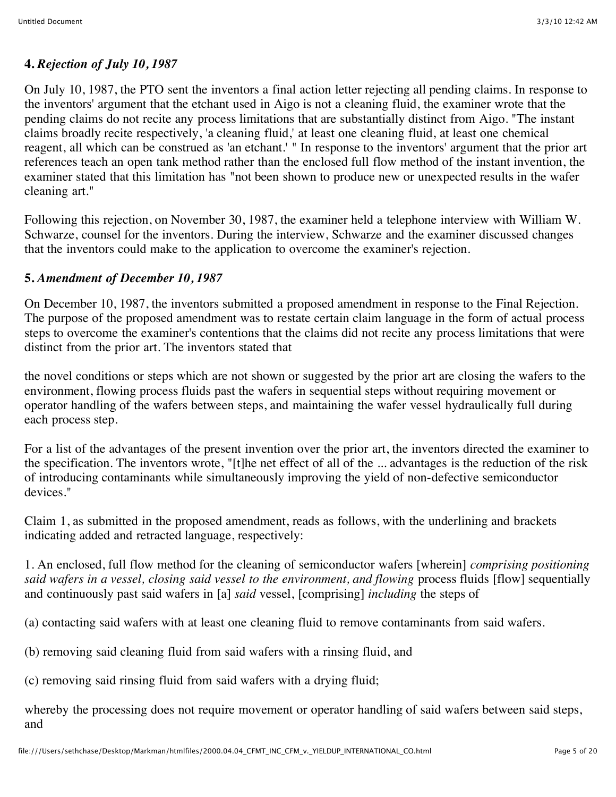#### **4.** *Rejection of July 10, 1987*

On July 10, 1987, the PTO sent the inventors a final action letter rejecting all pending claims. In response to the inventors' argument that the etchant used in Aigo is not a cleaning fluid, the examiner wrote that the pending claims do not recite any process limitations that are substantially distinct from Aigo. "The instant claims broadly recite respectively, 'a cleaning fluid,' at least one cleaning fluid, at least one chemical reagent, all which can be construed as 'an etchant.' " In response to the inventors' argument that the prior art references teach an open tank method rather than the enclosed full flow method of the instant invention, the examiner stated that this limitation has "not been shown to produce new or unexpected results in the wafer cleaning art."

Following this rejection, on November 30, 1987, the examiner held a telephone interview with William W. Schwarze, counsel for the inventors. During the interview, Schwarze and the examiner discussed changes that the inventors could make to the application to overcome the examiner's rejection.

#### **5.** *Amendment of December 10, 1987*

On December 10, 1987, the inventors submitted a proposed amendment in response to the Final Rejection. The purpose of the proposed amendment was to restate certain claim language in the form of actual process steps to overcome the examiner's contentions that the claims did not recite any process limitations that were distinct from the prior art. The inventors stated that

the novel conditions or steps which are not shown or suggested by the prior art are closing the wafers to the environment, flowing process fluids past the wafers in sequential steps without requiring movement or operator handling of the wafers between steps, and maintaining the wafer vessel hydraulically full during each process step.

For a list of the advantages of the present invention over the prior art, the inventors directed the examiner to the specification. The inventors wrote, "[t]he net effect of all of the ... advantages is the reduction of the risk of introducing contaminants while simultaneously improving the yield of non-defective semiconductor devices<sup>"</sup>

Claim 1, as submitted in the proposed amendment, reads as follows, with the underlining and brackets indicating added and retracted language, respectively:

1. An enclosed, full flow method for the cleaning of semiconductor wafers [wherein] *comprising positioning said wafers in a vessel, closing said vessel to the environment, and flowing* process fluids [flow] sequentially and continuously past said wafers in [a] *said* vessel, [comprising] *including* the steps of

(a) contacting said wafers with at least one cleaning fluid to remove contaminants from said wafers.

(b) removing said cleaning fluid from said wafers with a rinsing fluid, and

(c) removing said rinsing fluid from said wafers with a drying fluid;

whereby the processing does not require movement or operator handling of said wafers between said steps, and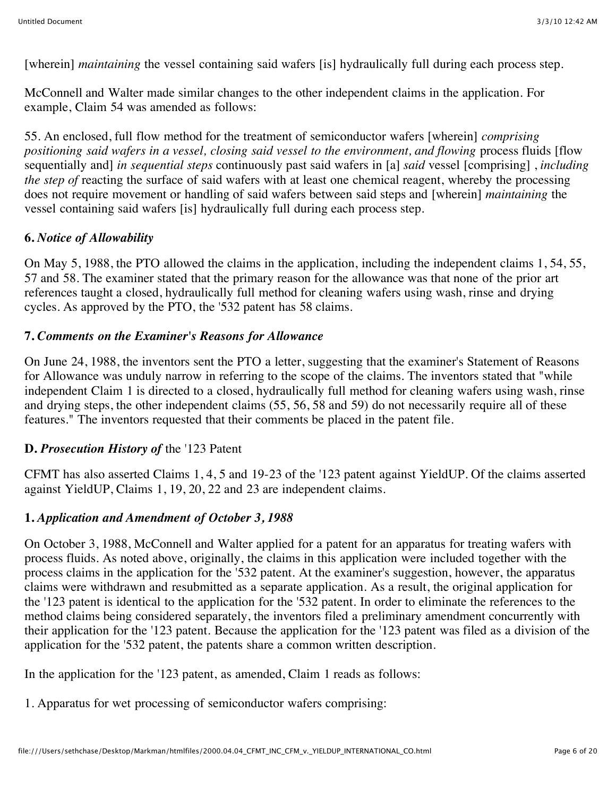[wherein] *maintaining* the vessel containing said wafers [is] hydraulically full during each process step.

McConnell and Walter made similar changes to the other independent claims in the application. For example, Claim 54 was amended as follows:

55. An enclosed, full flow method for the treatment of semiconductor wafers [wherein] *comprising positioning said wafers in a vessel, closing said vessel to the environment, and flowing* process fluids [flow sequentially and] *in sequential steps* continuously past said wafers in [a] *said* vessel [comprising] , *including the step of* reacting the surface of said wafers with at least one chemical reagent, whereby the processing does not require movement or handling of said wafers between said steps and [wherein] *maintaining* the vessel containing said wafers [is] hydraulically full during each process step.

# **6.** *Notice of Allowability*

On May 5, 1988, the PTO allowed the claims in the application, including the independent claims 1, 54, 55, 57 and 58. The examiner stated that the primary reason for the allowance was that none of the prior art references taught a closed, hydraulically full method for cleaning wafers using wash, rinse and drying cycles. As approved by the PTO, the '532 patent has 58 claims.

## **7.** *Comments on the Examiner's Reasons for Allowance*

On June 24, 1988, the inventors sent the PTO a letter, suggesting that the examiner's Statement of Reasons for Allowance was unduly narrow in referring to the scope of the claims. The inventors stated that "while independent Claim 1 is directed to a closed, hydraulically full method for cleaning wafers using wash, rinse and drying steps, the other independent claims (55, 56, 58 and 59) do not necessarily require all of these features." The inventors requested that their comments be placed in the patent file.

## **D.** *Prosecution History of* the '123 Patent

CFMT has also asserted Claims 1, 4, 5 and 19-23 of the '123 patent against YieldUP. Of the claims asserted against YieldUP, Claims 1, 19, 20, 22 and 23 are independent claims.

## **1.** *Application and Amendment of October 3, 1988*

On October 3, 1988, McConnell and Walter applied for a patent for an apparatus for treating wafers with process fluids. As noted above, originally, the claims in this application were included together with the process claims in the application for the '532 patent. At the examiner's suggestion, however, the apparatus claims were withdrawn and resubmitted as a separate application. As a result, the original application for the '123 patent is identical to the application for the '532 patent. In order to eliminate the references to the method claims being considered separately, the inventors filed a preliminary amendment concurrently with their application for the '123 patent. Because the application for the '123 patent was filed as a division of the application for the '532 patent, the patents share a common written description.

In the application for the '123 patent, as amended, Claim 1 reads as follows:

1. Apparatus for wet processing of semiconductor wafers comprising: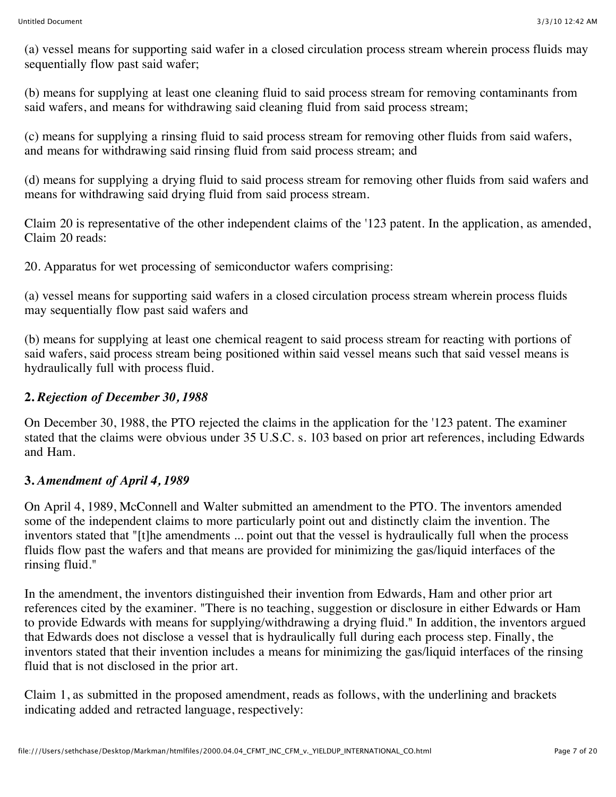(a) vessel means for supporting said wafer in a closed circulation process stream wherein process fluids may sequentially flow past said wafer;

(b) means for supplying at least one cleaning fluid to said process stream for removing contaminants from said wafers, and means for withdrawing said cleaning fluid from said process stream;

(c) means for supplying a rinsing fluid to said process stream for removing other fluids from said wafers, and means for withdrawing said rinsing fluid from said process stream; and

(d) means for supplying a drying fluid to said process stream for removing other fluids from said wafers and means for withdrawing said drying fluid from said process stream.

Claim 20 is representative of the other independent claims of the '123 patent. In the application, as amended, Claim 20 reads:

20. Apparatus for wet processing of semiconductor wafers comprising:

(a) vessel means for supporting said wafers in a closed circulation process stream wherein process fluids may sequentially flow past said wafers and

(b) means for supplying at least one chemical reagent to said process stream for reacting with portions of said wafers, said process stream being positioned within said vessel means such that said vessel means is hydraulically full with process fluid.

## **2.** *Rejection of December 30, 1988*

On December 30, 1988, the PTO rejected the claims in the application for the '123 patent. The examiner stated that the claims were obvious under 35 U.S.C. s. 103 based on prior art references, including Edwards and Ham.

## **3.** *Amendment of April 4, 1989*

On April 4, 1989, McConnell and Walter submitted an amendment to the PTO. The inventors amended some of the independent claims to more particularly point out and distinctly claim the invention. The inventors stated that "[t]he amendments ... point out that the vessel is hydraulically full when the process fluids flow past the wafers and that means are provided for minimizing the gas/liquid interfaces of the rinsing fluid."

In the amendment, the inventors distinguished their invention from Edwards, Ham and other prior art references cited by the examiner. "There is no teaching, suggestion or disclosure in either Edwards or Ham to provide Edwards with means for supplying/withdrawing a drying fluid." In addition, the inventors argued that Edwards does not disclose a vessel that is hydraulically full during each process step. Finally, the inventors stated that their invention includes a means for minimizing the gas/liquid interfaces of the rinsing fluid that is not disclosed in the prior art.

Claim 1, as submitted in the proposed amendment, reads as follows, with the underlining and brackets indicating added and retracted language, respectively: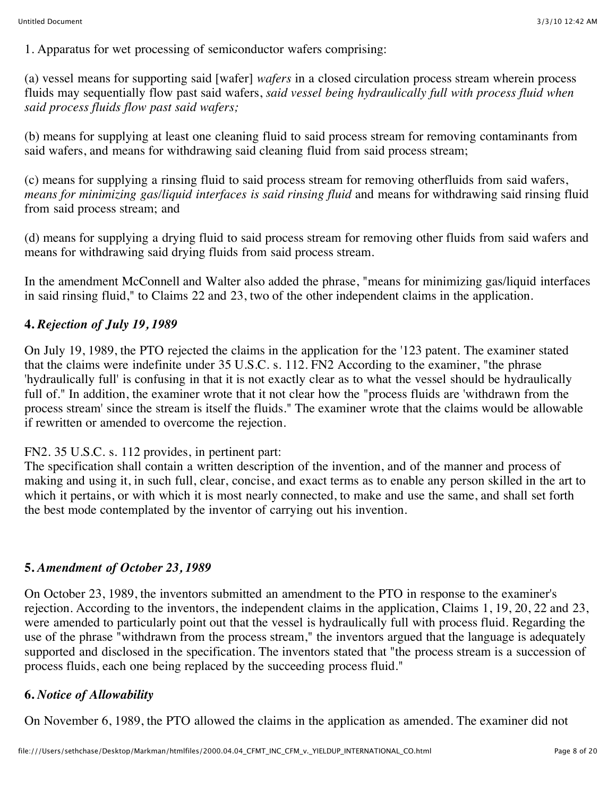1. Apparatus for wet processing of semiconductor wafers comprising:

(a) vessel means for supporting said [wafer] *wafers* in a closed circulation process stream wherein process fluids may sequentially flow past said wafers, *said vessel being hydraulically full with process fluid when said process fluids flow past said wafers;*

(b) means for supplying at least one cleaning fluid to said process stream for removing contaminants from said wafers, and means for withdrawing said cleaning fluid from said process stream;

(c) means for supplying a rinsing fluid to said process stream for removing otherfluids from said wafers, *means for minimizing gas/liquid interfaces is said rinsing fluid* and means for withdrawing said rinsing fluid from said process stream; and

(d) means for supplying a drying fluid to said process stream for removing other fluids from said wafers and means for withdrawing said drying fluids from said process stream.

In the amendment McConnell and Walter also added the phrase, "means for minimizing gas/liquid interfaces in said rinsing fluid," to Claims 22 and 23, two of the other independent claims in the application.

# **4.** *Rejection of July 19, 1989*

On July 19, 1989, the PTO rejected the claims in the application for the '123 patent. The examiner stated that the claims were indefinite under 35 U.S.C. s. 112. FN2 According to the examiner, "the phrase 'hydraulically full' is confusing in that it is not exactly clear as to what the vessel should be hydraulically full of." In addition, the examiner wrote that it not clear how the "process fluids are 'withdrawn from the process stream' since the stream is itself the fluids." The examiner wrote that the claims would be allowable if rewritten or amended to overcome the rejection.

## FN2. 35 U.S.C. s. 112 provides, in pertinent part:

The specification shall contain a written description of the invention, and of the manner and process of making and using it, in such full, clear, concise, and exact terms as to enable any person skilled in the art to which it pertains, or with which it is most nearly connected, to make and use the same, and shall set forth the best mode contemplated by the inventor of carrying out his invention.

## **5.** *Amendment of October 23, 1989*

On October 23, 1989, the inventors submitted an amendment to the PTO in response to the examiner's rejection. According to the inventors, the independent claims in the application, Claims 1, 19, 20, 22 and 23, were amended to particularly point out that the vessel is hydraulically full with process fluid. Regarding the use of the phrase "withdrawn from the process stream," the inventors argued that the language is adequately supported and disclosed in the specification. The inventors stated that "the process stream is a succession of process fluids, each one being replaced by the succeeding process fluid."

## **6.** *Notice of Allowability*

On November 6, 1989, the PTO allowed the claims in the application as amended. The examiner did not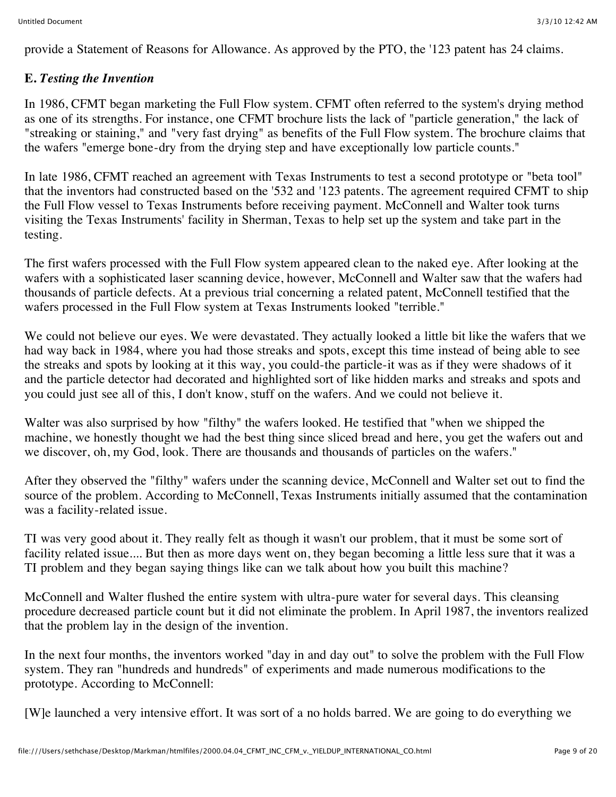provide a Statement of Reasons for Allowance. As approved by the PTO, the '123 patent has 24 claims.

#### **E.** *Testing the Invention*

In 1986, CFMT began marketing the Full Flow system. CFMT often referred to the system's drying method as one of its strengths. For instance, one CFMT brochure lists the lack of "particle generation," the lack of "streaking or staining," and "very fast drying" as benefits of the Full Flow system. The brochure claims that the wafers "emerge bone-dry from the drying step and have exceptionally low particle counts."

In late 1986, CFMT reached an agreement with Texas Instruments to test a second prototype or "beta tool" that the inventors had constructed based on the '532 and '123 patents. The agreement required CFMT to ship the Full Flow vessel to Texas Instruments before receiving payment. McConnell and Walter took turns visiting the Texas Instruments' facility in Sherman, Texas to help set up the system and take part in the testing.

The first wafers processed with the Full Flow system appeared clean to the naked eye. After looking at the wafers with a sophisticated laser scanning device, however, McConnell and Walter saw that the wafers had thousands of particle defects. At a previous trial concerning a related patent, McConnell testified that the wafers processed in the Full Flow system at Texas Instruments looked "terrible."

We could not believe our eyes. We were devastated. They actually looked a little bit like the wafers that we had way back in 1984, where you had those streaks and spots, except this time instead of being able to see the streaks and spots by looking at it this way, you could-the particle-it was as if they were shadows of it and the particle detector had decorated and highlighted sort of like hidden marks and streaks and spots and you could just see all of this, I don't know, stuff on the wafers. And we could not believe it.

Walter was also surprised by how "filthy" the wafers looked. He testified that "when we shipped the machine, we honestly thought we had the best thing since sliced bread and here, you get the wafers out and we discover, oh, my God, look. There are thousands and thousands of particles on the wafers."

After they observed the "filthy" wafers under the scanning device, McConnell and Walter set out to find the source of the problem. According to McConnell, Texas Instruments initially assumed that the contamination was a facility-related issue.

TI was very good about it. They really felt as though it wasn't our problem, that it must be some sort of facility related issue.... But then as more days went on, they began becoming a little less sure that it was a TI problem and they began saying things like can we talk about how you built this machine?

McConnell and Walter flushed the entire system with ultra-pure water for several days. This cleansing procedure decreased particle count but it did not eliminate the problem. In April 1987, the inventors realized that the problem lay in the design of the invention.

In the next four months, the inventors worked "day in and day out" to solve the problem with the Full Flow system. They ran "hundreds and hundreds" of experiments and made numerous modifications to the prototype. According to McConnell:

[W]e launched a very intensive effort. It was sort of a no holds barred. We are going to do everything we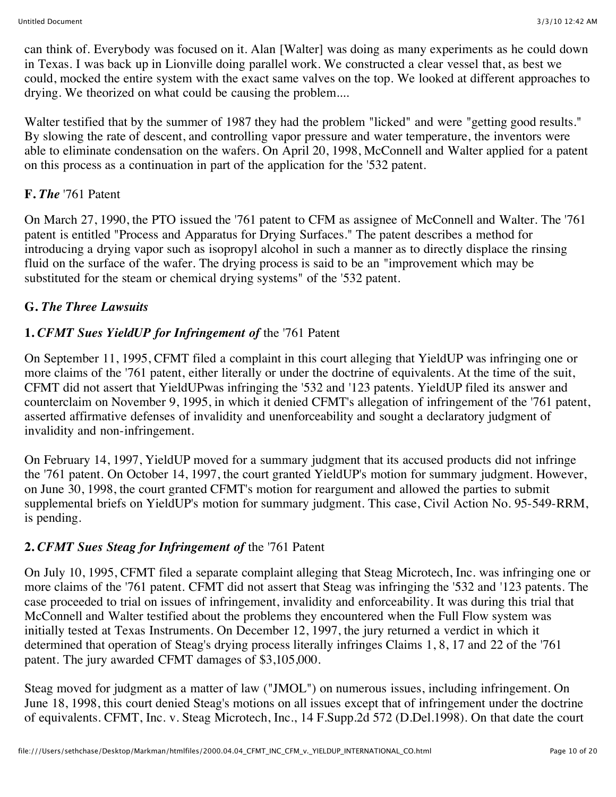can think of. Everybody was focused on it. Alan [Walter] was doing as many experiments as he could down in Texas. I was back up in Lionville doing parallel work. We constructed a clear vessel that, as best we could, mocked the entire system with the exact same valves on the top. We looked at different approaches to drying. We theorized on what could be causing the problem....

Walter testified that by the summer of 1987 they had the problem "licked" and were "getting good results." By slowing the rate of descent, and controlling vapor pressure and water temperature, the inventors were able to eliminate condensation on the wafers. On April 20, 1998, McConnell and Walter applied for a patent on this process as a continuation in part of the application for the '532 patent.

# **F.** *The* '761 Patent

On March 27, 1990, the PTO issued the '761 patent to CFM as assignee of McConnell and Walter. The '761 patent is entitled "Process and Apparatus for Drying Surfaces." The patent describes a method for introducing a drying vapor such as isopropyl alcohol in such a manner as to directly displace the rinsing fluid on the surface of the wafer. The drying process is said to be an "improvement which may be substituted for the steam or chemical drying systems" of the '532 patent.

## **G.** *The Three Lawsuits*

# **1.** *CFMT Sues YieldUP for Infringement of* the '761 Patent

On September 11, 1995, CFMT filed a complaint in this court alleging that YieldUP was infringing one or more claims of the '761 patent, either literally or under the doctrine of equivalents. At the time of the suit, CFMT did not assert that YieldUPwas infringing the '532 and '123 patents. YieldUP filed its answer and counterclaim on November 9, 1995, in which it denied CFMT's allegation of infringement of the '761 patent, asserted affirmative defenses of invalidity and unenforceability and sought a declaratory judgment of invalidity and non-infringement.

On February 14, 1997, YieldUP moved for a summary judgment that its accused products did not infringe the '761 patent. On October 14, 1997, the court granted YieldUP's motion for summary judgment. However, on June 30, 1998, the court granted CFMT's motion for reargument and allowed the parties to submit supplemental briefs on YieldUP's motion for summary judgment. This case, Civil Action No. 95-549-RRM, is pending.

## **2.** *CFMT Sues Steag for Infringement of* the '761 Patent

On July 10, 1995, CFMT filed a separate complaint alleging that Steag Microtech, Inc. was infringing one or more claims of the '761 patent. CFMT did not assert that Steag was infringing the '532 and '123 patents. The case proceeded to trial on issues of infringement, invalidity and enforceability. It was during this trial that McConnell and Walter testified about the problems they encountered when the Full Flow system was initially tested at Texas Instruments. On December 12, 1997, the jury returned a verdict in which it determined that operation of Steag's drying process literally infringes Claims 1, 8, 17 and 22 of the '761 patent. The jury awarded CFMT damages of \$3,105,000.

Steag moved for judgment as a matter of law ("JMOL") on numerous issues, including infringement. On June 18, 1998, this court denied Steag's motions on all issues except that of infringement under the doctrine of equivalents. CFMT, Inc. v. Steag Microtech, Inc., 14 F.Supp.2d 572 (D.Del.1998). On that date the court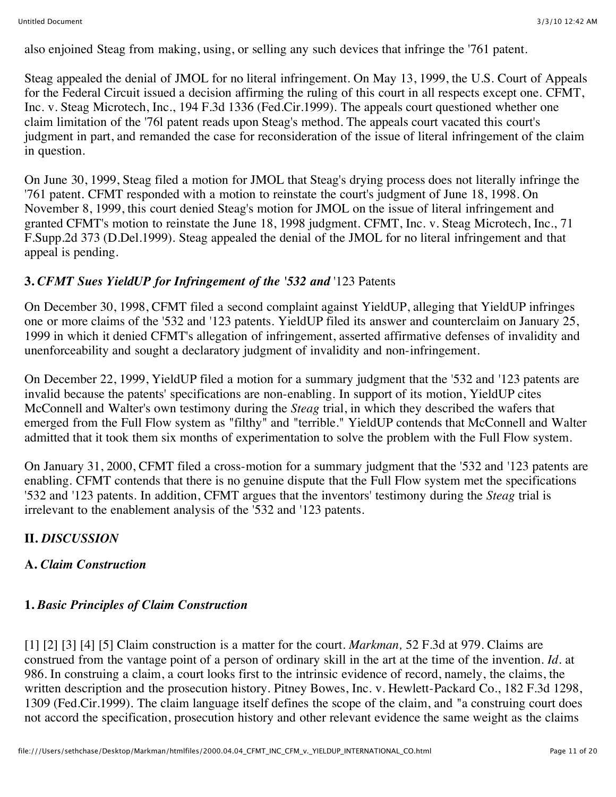also enjoined Steag from making, using, or selling any such devices that infringe the '761 patent.

Steag appealed the denial of JMOL for no literal infringement. On May 13, 1999, the U.S. Court of Appeals for the Federal Circuit issued a decision affirming the ruling of this court in all respects except one. CFMT, Inc. v. Steag Microtech, Inc., 194 F.3d 1336 (Fed.Cir.1999). The appeals court questioned whether one claim limitation of the '76l patent reads upon Steag's method. The appeals court vacated this court's judgment in part, and remanded the case for reconsideration of the issue of literal infringement of the claim in question.

On June 30, 1999, Steag filed a motion for JMOL that Steag's drying process does not literally infringe the '761 patent. CFMT responded with a motion to reinstate the court's judgment of June 18, 1998. On November 8, 1999, this court denied Steag's motion for JMOL on the issue of literal infringement and granted CFMT's motion to reinstate the June 18, 1998 judgment. CFMT, Inc. v. Steag Microtech, Inc., 71 F.Supp.2d 373 (D.Del.1999). Steag appealed the denial of the JMOL for no literal infringement and that appeal is pending.

## **3.** *CFMT Sues YieldUP for Infringement of the '532 and* '123 Patents

On December 30, 1998, CFMT filed a second complaint against YieldUP, alleging that YieldUP infringes one or more claims of the '532 and '123 patents. YieldUP filed its answer and counterclaim on January 25, 1999 in which it denied CFMT's allegation of infringement, asserted affirmative defenses of invalidity and unenforceability and sought a declaratory judgment of invalidity and non-infringement.

On December 22, 1999, YieldUP filed a motion for a summary judgment that the '532 and '123 patents are invalid because the patents' specifications are non-enabling. In support of its motion, YieldUP cites McConnell and Walter's own testimony during the *Steag* trial, in which they described the wafers that emerged from the Full Flow system as "filthy" and "terrible." YieldUP contends that McConnell and Walter admitted that it took them six months of experimentation to solve the problem with the Full Flow system.

On January 31, 2000, CFMT filed a cross-motion for a summary judgment that the '532 and '123 patents are enabling. CFMT contends that there is no genuine dispute that the Full Flow system met the specifications '532 and '123 patents. In addition, CFMT argues that the inventors' testimony during the *Steag* trial is irrelevant to the enablement analysis of the '532 and '123 patents.

## **II.** *DISCUSSION*

## **A.** *Claim Construction*

## **1.** *Basic Principles of Claim Construction*

[1] [2] [3] [4] [5] Claim construction is a matter for the court. *Markman,* 52 F.3d at 979. Claims are construed from the vantage point of a person of ordinary skill in the art at the time of the invention. *Id.* at 986. In construing a claim, a court looks first to the intrinsic evidence of record, namely, the claims, the written description and the prosecution history. Pitney Bowes, Inc. v. Hewlett-Packard Co., 182 F.3d 1298, 1309 (Fed.Cir.1999). The claim language itself defines the scope of the claim, and "a construing court does not accord the specification, prosecution history and other relevant evidence the same weight as the claims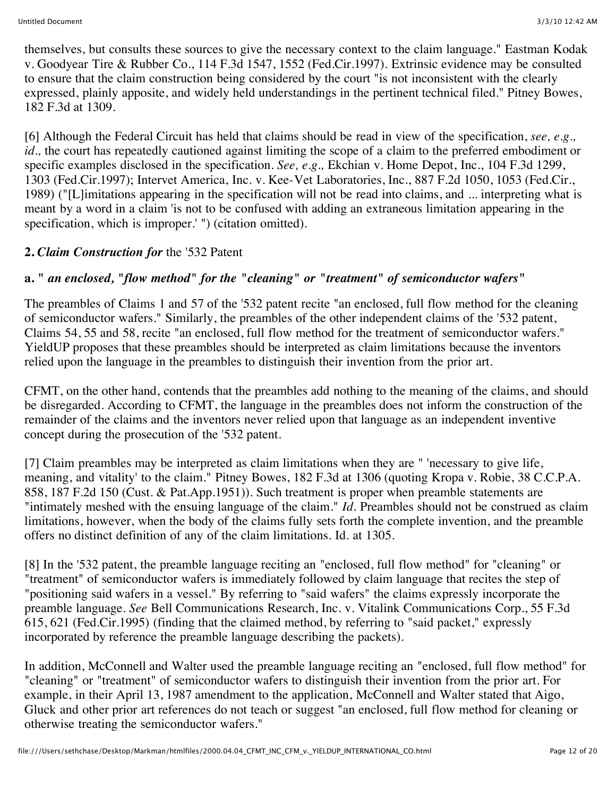themselves, but consults these sources to give the necessary context to the claim language." Eastman Kodak v. Goodyear Tire & Rubber Co., 114 F.3d 1547, 1552 (Fed.Cir.1997). Extrinsic evidence may be consulted to ensure that the claim construction being considered by the court "is not inconsistent with the clearly expressed, plainly apposite, and widely held understandings in the pertinent technical filed." Pitney Bowes, 182 F.3d at 1309.

[6] Although the Federal Circuit has held that claims should be read in view of the specification, *see, e.g., id.,* the court has repeatedly cautioned against limiting the scope of a claim to the preferred embodiment or specific examples disclosed in the specification. *See, e.g.,* Ekchian v. Home Depot, Inc., 104 F.3d 1299, 1303 (Fed.Cir.1997); Intervet America, Inc. v. Kee-Vet Laboratories, Inc., 887 F.2d 1050, 1053 (Fed.Cir., 1989) ("[L]imitations appearing in the specification will not be read into claims, and ... interpreting what is meant by a word in a claim 'is not to be confused with adding an extraneous limitation appearing in the specification, which is improper.' ") (citation omitted).

## **2.** *Claim Construction for* the '532 Patent

# **a. "** *an enclosed, "flow method" for the "cleaning" or "treatment" of semiconductor wafers***"**

The preambles of Claims 1 and 57 of the '532 patent recite "an enclosed, full flow method for the cleaning of semiconductor wafers." Similarly, the preambles of the other independent claims of the '532 patent, Claims 54, 55 and 58, recite "an enclosed, full flow method for the treatment of semiconductor wafers." YieldUP proposes that these preambles should be interpreted as claim limitations because the inventors relied upon the language in the preambles to distinguish their invention from the prior art.

CFMT, on the other hand, contends that the preambles add nothing to the meaning of the claims, and should be disregarded. According to CFMT, the language in the preambles does not inform the construction of the remainder of the claims and the inventors never relied upon that language as an independent inventive concept during the prosecution of the '532 patent.

[7] Claim preambles may be interpreted as claim limitations when they are " 'necessary to give life, meaning, and vitality' to the claim." Pitney Bowes, 182 F.3d at 1306 (quoting Kropa v. Robie, 38 C.C.P.A. 858, 187 F.2d 150 (Cust. & Pat.App.1951)). Such treatment is proper when preamble statements are "intimately meshed with the ensuing language of the claim." *Id.* Preambles should not be construed as claim limitations, however, when the body of the claims fully sets forth the complete invention, and the preamble offers no distinct definition of any of the claim limitations. Id. at 1305.

[8] In the '532 patent, the preamble language reciting an "enclosed, full flow method" for "cleaning" or "treatment" of semiconductor wafers is immediately followed by claim language that recites the step of "positioning said wafers in a vessel." By referring to "said wafers" the claims expressly incorporate the preamble language. *See* Bell Communications Research, Inc. v. Vitalink Communications Corp., 55 F.3d 615, 621 (Fed.Cir.1995) (finding that the claimed method, by referring to "said packet," expressly incorporated by reference the preamble language describing the packets).

In addition, McConnell and Walter used the preamble language reciting an "enclosed, full flow method" for "cleaning" or "treatment" of semiconductor wafers to distinguish their invention from the prior art. For example, in their April 13, 1987 amendment to the application, McConnell and Walter stated that Aigo, Gluck and other prior art references do not teach or suggest "an enclosed, full flow method for cleaning or otherwise treating the semiconductor wafers."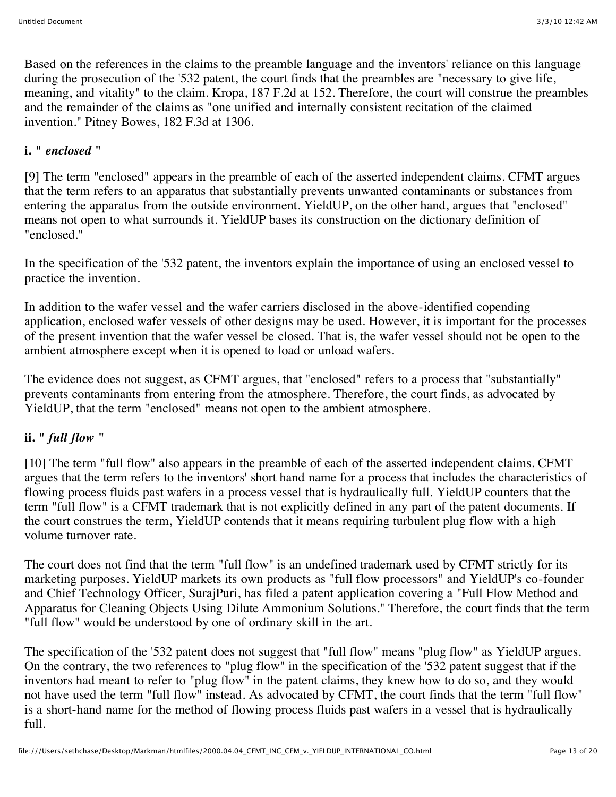Based on the references in the claims to the preamble language and the inventors' reliance on this language during the prosecution of the '532 patent, the court finds that the preambles are "necessary to give life, meaning, and vitality" to the claim. Kropa, 187 F.2d at 152. Therefore, the court will construe the preambles and the remainder of the claims as "one unified and internally consistent recitation of the claimed invention." Pitney Bowes, 182 F.3d at 1306.

# **i. "** *enclosed* **"**

[9] The term "enclosed" appears in the preamble of each of the asserted independent claims. CFMT argues that the term refers to an apparatus that substantially prevents unwanted contaminants or substances from entering the apparatus from the outside environment. YieldUP, on the other hand, argues that "enclosed" means not open to what surrounds it. YieldUP bases its construction on the dictionary definition of "enclosed."

In the specification of the '532 patent, the inventors explain the importance of using an enclosed vessel to practice the invention.

In addition to the wafer vessel and the wafer carriers disclosed in the above-identified copending application, enclosed wafer vessels of other designs may be used. However, it is important for the processes of the present invention that the wafer vessel be closed. That is, the wafer vessel should not be open to the ambient atmosphere except when it is opened to load or unload wafers.

The evidence does not suggest, as CFMT argues, that "enclosed" refers to a process that "substantially" prevents contaminants from entering from the atmosphere. Therefore, the court finds, as advocated by YieldUP, that the term "enclosed" means not open to the ambient atmosphere.

# **ii. "** *full flow* **"**

[10] The term "full flow" also appears in the preamble of each of the asserted independent claims. CFMT argues that the term refers to the inventors' short hand name for a process that includes the characteristics of flowing process fluids past wafers in a process vessel that is hydraulically full. YieldUP counters that the term "full flow" is a CFMT trademark that is not explicitly defined in any part of the patent documents. If the court construes the term, YieldUP contends that it means requiring turbulent plug flow with a high volume turnover rate.

The court does not find that the term "full flow" is an undefined trademark used by CFMT strictly for its marketing purposes. YieldUP markets its own products as "full flow processors" and YieldUP's co-founder and Chief Technology Officer, SurajPuri, has filed a patent application covering a "Full Flow Method and Apparatus for Cleaning Objects Using Dilute Ammonium Solutions." Therefore, the court finds that the term "full flow" would be understood by one of ordinary skill in the art.

The specification of the '532 patent does not suggest that "full flow" means "plug flow" as YieldUP argues. On the contrary, the two references to "plug flow" in the specification of the '532 patent suggest that if the inventors had meant to refer to "plug flow" in the patent claims, they knew how to do so, and they would not have used the term "full flow" instead. As advocated by CFMT, the court finds that the term "full flow" is a short-hand name for the method of flowing process fluids past wafers in a vessel that is hydraulically full.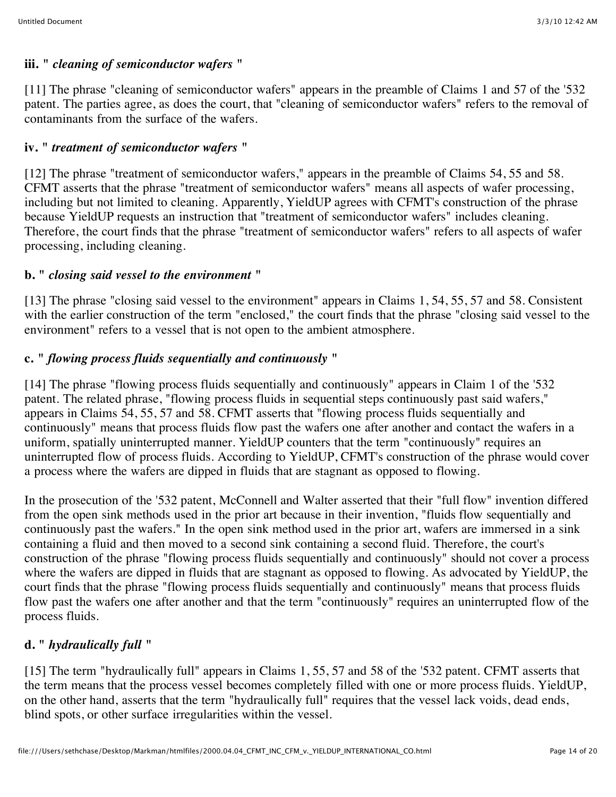#### **iii. "** *cleaning of semiconductor wafers* **"**

[11] The phrase "cleaning of semiconductor wafers" appears in the preamble of Claims 1 and 57 of the '532 patent. The parties agree, as does the court, that "cleaning of semiconductor wafers" refers to the removal of contaminants from the surface of the wafers.

#### **iv. "** *treatment of semiconductor wafers* **"**

[12] The phrase "treatment of semiconductor wafers," appears in the preamble of Claims 54, 55 and 58. CFMT asserts that the phrase "treatment of semiconductor wafers" means all aspects of wafer processing, including but not limited to cleaning. Apparently, YieldUP agrees with CFMT's construction of the phrase because YieldUP requests an instruction that "treatment of semiconductor wafers" includes cleaning. Therefore, the court finds that the phrase "treatment of semiconductor wafers" refers to all aspects of wafer processing, including cleaning.

## **b. "** *closing said vessel to the environment* **"**

[13] The phrase "closing said vessel to the environment" appears in Claims 1, 54, 55, 57 and 58. Consistent with the earlier construction of the term "enclosed," the court finds that the phrase "closing said vessel to the environment" refers to a vessel that is not open to the ambient atmosphere.

## **c. "** *flowing process fluids sequentially and continuously* **"**

[14] The phrase "flowing process fluids sequentially and continuously" appears in Claim 1 of the '532 patent. The related phrase, "flowing process fluids in sequential steps continuously past said wafers," appears in Claims 54, 55, 57 and 58. CFMT asserts that "flowing process fluids sequentially and continuously" means that process fluids flow past the wafers one after another and contact the wafers in a uniform, spatially uninterrupted manner. YieldUP counters that the term "continuously" requires an uninterrupted flow of process fluids. According to YieldUP, CFMT's construction of the phrase would cover a process where the wafers are dipped in fluids that are stagnant as opposed to flowing.

In the prosecution of the '532 patent, McConnell and Walter asserted that their "full flow" invention differed from the open sink methods used in the prior art because in their invention, "fluids flow sequentially and continuously past the wafers." In the open sink method used in the prior art, wafers are immersed in a sink containing a fluid and then moved to a second sink containing a second fluid. Therefore, the court's construction of the phrase "flowing process fluids sequentially and continuously" should not cover a process where the wafers are dipped in fluids that are stagnant as opposed to flowing. As advocated by YieldUP, the court finds that the phrase "flowing process fluids sequentially and continuously" means that process fluids flow past the wafers one after another and that the term "continuously" requires an uninterrupted flow of the process fluids.

## **d. "** *hydraulically full* **"**

[15] The term "hydraulically full" appears in Claims 1, 55, 57 and 58 of the '532 patent. CFMT asserts that the term means that the process vessel becomes completely filled with one or more process fluids. YieldUP, on the other hand, asserts that the term "hydraulically full" requires that the vessel lack voids, dead ends, blind spots, or other surface irregularities within the vessel.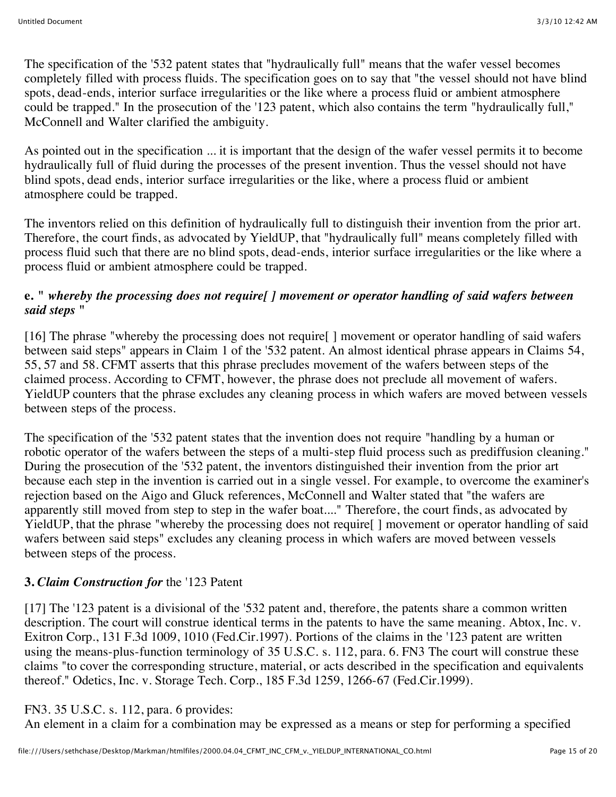The specification of the '532 patent states that "hydraulically full" means that the wafer vessel becomes completely filled with process fluids. The specification goes on to say that "the vessel should not have blind spots, dead-ends, interior surface irregularities or the like where a process fluid or ambient atmosphere could be trapped." In the prosecution of the '123 patent, which also contains the term "hydraulically full," McConnell and Walter clarified the ambiguity.

As pointed out in the specification ... it is important that the design of the wafer vessel permits it to become hydraulically full of fluid during the processes of the present invention. Thus the vessel should not have blind spots, dead ends, interior surface irregularities or the like, where a process fluid or ambient atmosphere could be trapped.

The inventors relied on this definition of hydraulically full to distinguish their invention from the prior art. Therefore, the court finds, as advocated by YieldUP, that "hydraulically full" means completely filled with process fluid such that there are no blind spots, dead-ends, interior surface irregularities or the like where a process fluid or ambient atmosphere could be trapped.

#### **e. "** *whereby the processing does not require[ ] movement or operator handling of said wafers between said steps* **"**

[16] The phrase "whereby the processing does not require[] movement or operator handling of said wafers between said steps" appears in Claim 1 of the '532 patent. An almost identical phrase appears in Claims 54, 55, 57 and 58. CFMT asserts that this phrase precludes movement of the wafers between steps of the claimed process. According to CFMT, however, the phrase does not preclude all movement of wafers. YieldUP counters that the phrase excludes any cleaning process in which wafers are moved between vessels between steps of the process.

The specification of the '532 patent states that the invention does not require "handling by a human or robotic operator of the wafers between the steps of a multi-step fluid process such as prediffusion cleaning." During the prosecution of the '532 patent, the inventors distinguished their invention from the prior art because each step in the invention is carried out in a single vessel. For example, to overcome the examiner's rejection based on the Aigo and Gluck references, McConnell and Walter stated that "the wafers are apparently still moved from step to step in the wafer boat...." Therefore, the court finds, as advocated by YieldUP, that the phrase "whereby the processing does not require | movement or operator handling of said wafers between said steps" excludes any cleaning process in which wafers are moved between vessels between steps of the process.

## **3.** *Claim Construction for* the '123 Patent

[17] The '123 patent is a divisional of the '532 patent and, therefore, the patents share a common written description. The court will construe identical terms in the patents to have the same meaning. Abtox, Inc. v. Exitron Corp., 131 F.3d 1009, 1010 (Fed.Cir.1997). Portions of the claims in the '123 patent are written using the means-plus-function terminology of 35 U.S.C. s. 112, para. 6. FN3 The court will construe these claims "to cover the corresponding structure, material, or acts described in the specification and equivalents thereof." Odetics, Inc. v. Storage Tech. Corp., 185 F.3d 1259, 1266-67 (Fed.Cir.1999).

## FN3. 35 U.S.C. s. 112, para. 6 provides:

An element in a claim for a combination may be expressed as a means or step for performing a specified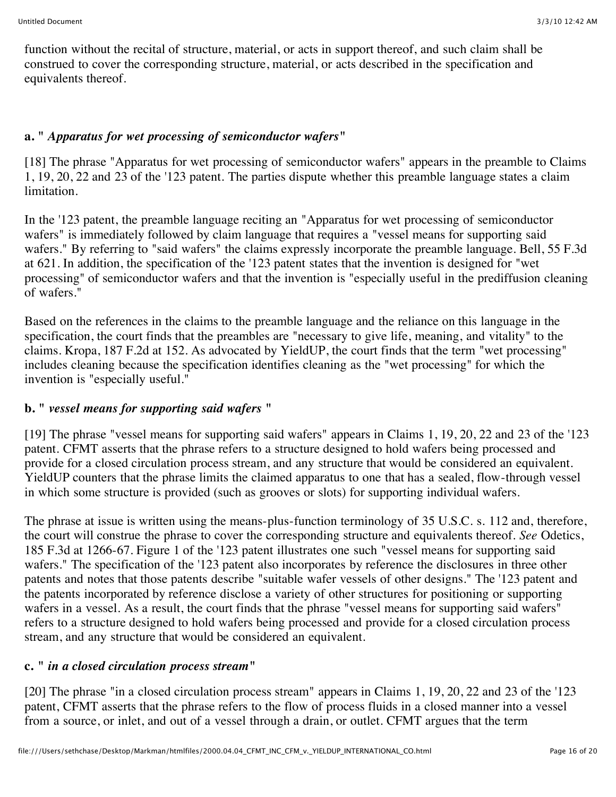function without the recital of structure, material, or acts in support thereof, and such claim shall be construed to cover the corresponding structure, material, or acts described in the specification and equivalents thereof.

#### **a. "** *Apparatus for wet processing of semiconductor wafers***"**

[18] The phrase "Apparatus for wet processing of semiconductor wafers" appears in the preamble to Claims 1, 19, 20, 22 and 23 of the '123 patent. The parties dispute whether this preamble language states a claim limitation.

In the '123 patent, the preamble language reciting an "Apparatus for wet processing of semiconductor wafers" is immediately followed by claim language that requires a "vessel means for supporting said wafers." By referring to "said wafers" the claims expressly incorporate the preamble language. Bell, 55 F.3d at 621. In addition, the specification of the '123 patent states that the invention is designed for "wet processing" of semiconductor wafers and that the invention is "especially useful in the prediffusion cleaning of wafers."

Based on the references in the claims to the preamble language and the reliance on this language in the specification, the court finds that the preambles are "necessary to give life, meaning, and vitality" to the claims. Kropa, 187 F.2d at 152. As advocated by YieldUP, the court finds that the term "wet processing" includes cleaning because the specification identifies cleaning as the "wet processing" for which the invention is "especially useful."

#### **b. "** *vessel means for supporting said wafers* **"**

[19] The phrase "vessel means for supporting said wafers" appears in Claims 1, 19, 20, 22 and 23 of the '123 patent. CFMT asserts that the phrase refers to a structure designed to hold wafers being processed and provide for a closed circulation process stream, and any structure that would be considered an equivalent. YieldUP counters that the phrase limits the claimed apparatus to one that has a sealed, flow-through vessel in which some structure is provided (such as grooves or slots) for supporting individual wafers.

The phrase at issue is written using the means-plus-function terminology of 35 U.S.C. s. 112 and, therefore, the court will construe the phrase to cover the corresponding structure and equivalents thereof. *See* Odetics, 185 F.3d at 1266-67. Figure 1 of the '123 patent illustrates one such "vessel means for supporting said wafers." The specification of the '123 patent also incorporates by reference the disclosures in three other patents and notes that those patents describe "suitable wafer vessels of other designs." The '123 patent and the patents incorporated by reference disclose a variety of other structures for positioning or supporting wafers in a vessel. As a result, the court finds that the phrase "vessel means for supporting said wafers" refers to a structure designed to hold wafers being processed and provide for a closed circulation process stream, and any structure that would be considered an equivalent.

#### **c. "** *in a closed circulation process stream***"**

[20] The phrase "in a closed circulation process stream" appears in Claims 1, 19, 20, 22 and 23 of the '123 patent, CFMT asserts that the phrase refers to the flow of process fluids in a closed manner into a vessel from a source, or inlet, and out of a vessel through a drain, or outlet. CFMT argues that the term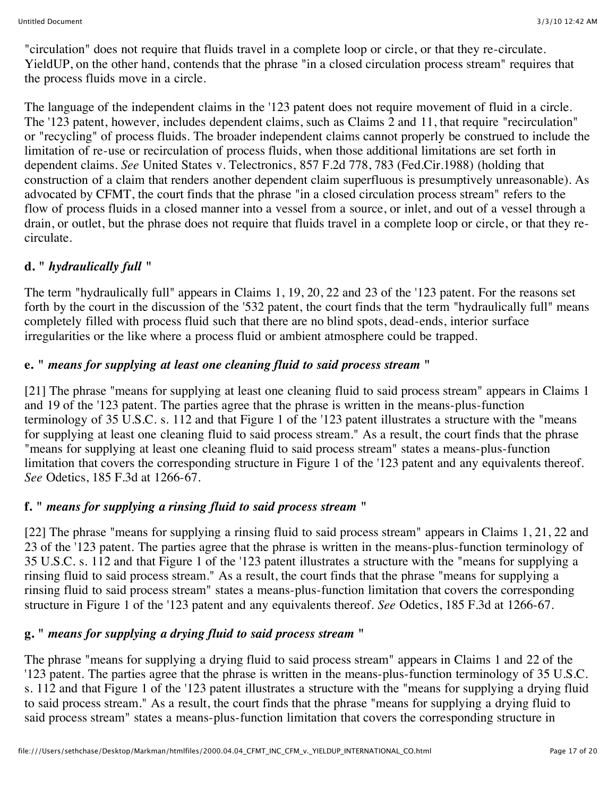"circulation" does not require that fluids travel in a complete loop or circle, or that they re-circulate. YieldUP, on the other hand, contends that the phrase "in a closed circulation process stream" requires that the process fluids move in a circle.

The language of the independent claims in the '123 patent does not require movement of fluid in a circle. The '123 patent, however, includes dependent claims, such as Claims 2 and 11, that require "recirculation" or "recycling" of process fluids. The broader independent claims cannot properly be construed to include the limitation of re-use or recirculation of process fluids, when those additional limitations are set forth in dependent claims. *See* United States v. Telectronics, 857 F.2d 778, 783 (Fed.Cir.1988) (holding that construction of a claim that renders another dependent claim superfluous is presumptively unreasonable). As advocated by CFMT, the court finds that the phrase "in a closed circulation process stream" refers to the flow of process fluids in a closed manner into a vessel from a source, or inlet, and out of a vessel through a drain, or outlet, but the phrase does not require that fluids travel in a complete loop or circle, or that they recirculate.

## **d. "** *hydraulically full* **"**

The term "hydraulically full" appears in Claims 1, 19, 20, 22 and 23 of the '123 patent. For the reasons set forth by the court in the discussion of the '532 patent, the court finds that the term "hydraulically full" means completely filled with process fluid such that there are no blind spots, dead-ends, interior surface irregularities or the like where a process fluid or ambient atmosphere could be trapped.

## **e. "** *means for supplying at least one cleaning fluid to said process stream* **"**

[21] The phrase "means for supplying at least one cleaning fluid to said process stream" appears in Claims 1 and 19 of the '123 patent. The parties agree that the phrase is written in the means-plus-function terminology of 35 U.S.C. s. 112 and that Figure 1 of the '123 patent illustrates a structure with the "means for supplying at least one cleaning fluid to said process stream." As a result, the court finds that the phrase "means for supplying at least one cleaning fluid to said process stream" states a means-plus-function limitation that covers the corresponding structure in Figure 1 of the '123 patent and any equivalents thereof. *See* Odetics, 185 F.3d at 1266-67.

## **f. "** *means for supplying a rinsing fluid to said process stream* **"**

[22] The phrase "means for supplying a rinsing fluid to said process stream" appears in Claims 1, 21, 22 and 23 of the '123 patent. The parties agree that the phrase is written in the means-plus-function terminology of 35 U.S.C. s. 112 and that Figure 1 of the '123 patent illustrates a structure with the "means for supplying a rinsing fluid to said process stream." As a result, the court finds that the phrase "means for supplying a rinsing fluid to said process stream" states a means-plus-function limitation that covers the corresponding structure in Figure 1 of the '123 patent and any equivalents thereof. *See* Odetics, 185 F.3d at 1266-67.

## **g. "** *means for supplying a drying fluid to said process stream* **"**

The phrase "means for supplying a drying fluid to said process stream" appears in Claims 1 and 22 of the '123 patent. The parties agree that the phrase is written in the means-plus-function terminology of 35 U.S.C. s. 112 and that Figure 1 of the '123 patent illustrates a structure with the "means for supplying a drying fluid to said process stream." As a result, the court finds that the phrase "means for supplying a drying fluid to said process stream" states a means-plus-function limitation that covers the corresponding structure in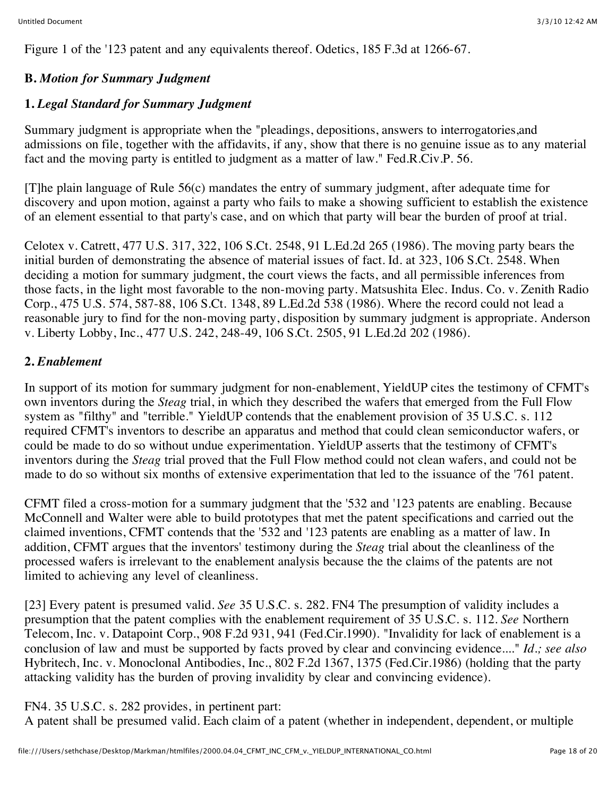Figure 1 of the '123 patent and any equivalents thereof. Odetics, 185 F.3d at 1266-67.

## **B.** *Motion for Summary Judgment*

#### **1.** *Legal Standard for Summary Judgment*

Summary judgment is appropriate when the "pleadings, depositions, answers to interrogatories,and admissions on file, together with the affidavits, if any, show that there is no genuine issue as to any material fact and the moving party is entitled to judgment as a matter of law." Fed.R.Civ.P. 56.

[T]he plain language of Rule 56(c) mandates the entry of summary judgment, after adequate time for discovery and upon motion, against a party who fails to make a showing sufficient to establish the existence of an element essential to that party's case, and on which that party will bear the burden of proof at trial.

Celotex v. Catrett, 477 U.S. 317, 322, 106 S.Ct. 2548, 91 L.Ed.2d 265 (1986). The moving party bears the initial burden of demonstrating the absence of material issues of fact. Id. at 323, 106 S.Ct. 2548. When deciding a motion for summary judgment, the court views the facts, and all permissible inferences from those facts, in the light most favorable to the non-moving party. Matsushita Elec. Indus. Co. v. Zenith Radio Corp., 475 U.S. 574, 587-88, 106 S.Ct. 1348, 89 L.Ed.2d 538 (1986). Where the record could not lead a reasonable jury to find for the non-moving party, disposition by summary judgment is appropriate. Anderson v. Liberty Lobby, Inc., 477 U.S. 242, 248-49, 106 S.Ct. 2505, 91 L.Ed.2d 202 (1986).

#### **2.** *Enablement*

In support of its motion for summary judgment for non-enablement, YieldUP cites the testimony of CFMT's own inventors during the *Steag* trial, in which they described the wafers that emerged from the Full Flow system as "filthy" and "terrible." YieldUP contends that the enablement provision of 35 U.S.C. s. 112 required CFMT's inventors to describe an apparatus and method that could clean semiconductor wafers, or could be made to do so without undue experimentation. YieldUP asserts that the testimony of CFMT's inventors during the *Steag* trial proved that the Full Flow method could not clean wafers, and could not be made to do so without six months of extensive experimentation that led to the issuance of the '761 patent.

CFMT filed a cross-motion for a summary judgment that the '532 and '123 patents are enabling. Because McConnell and Walter were able to build prototypes that met the patent specifications and carried out the claimed inventions, CFMT contends that the '532 and '123 patents are enabling as a matter of law. In addition, CFMT argues that the inventors' testimony during the *Steag* trial about the cleanliness of the processed wafers is irrelevant to the enablement analysis because the the claims of the patents are not limited to achieving any level of cleanliness.

[23] Every patent is presumed valid. *See* 35 U.S.C. s. 282. FN4 The presumption of validity includes a presumption that the patent complies with the enablement requirement of 35 U.S.C. s. 112. *See* Northern Telecom, Inc. v. Datapoint Corp., 908 F.2d 931, 941 (Fed.Cir.1990). "Invalidity for lack of enablement is a conclusion of law and must be supported by facts proved by clear and convincing evidence...." *Id.; see also* Hybritech, Inc. v. Monoclonal Antibodies, Inc., 802 F.2d 1367, 1375 (Fed.Cir.1986) (holding that the party attacking validity has the burden of proving invalidity by clear and convincing evidence).

FN4. 35 U.S.C. s. 282 provides, in pertinent part:

A patent shall be presumed valid. Each claim of a patent (whether in independent, dependent, or multiple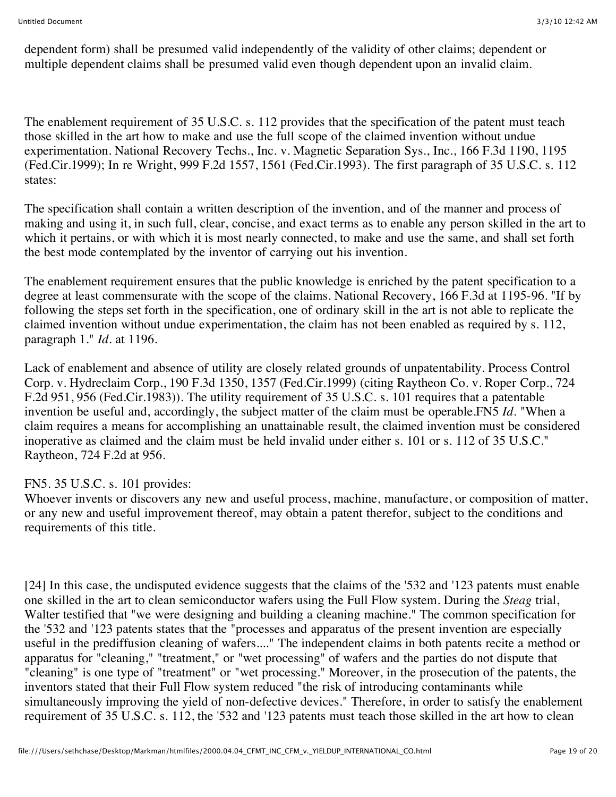dependent form) shall be presumed valid independently of the validity of other claims; dependent or multiple dependent claims shall be presumed valid even though dependent upon an invalid claim.

The enablement requirement of 35 U.S.C. s. 112 provides that the specification of the patent must teach those skilled in the art how to make and use the full scope of the claimed invention without undue experimentation. National Recovery Techs., Inc. v. Magnetic Separation Sys., Inc., 166 F.3d 1190, 1195 (Fed.Cir.1999); In re Wright, 999 F.2d 1557, 1561 (Fed.Cir.1993). The first paragraph of 35 U.S.C. s. 112 states:

The specification shall contain a written description of the invention, and of the manner and process of making and using it, in such full, clear, concise, and exact terms as to enable any person skilled in the art to which it pertains, or with which it is most nearly connected, to make and use the same, and shall set forth the best mode contemplated by the inventor of carrying out his invention.

The enablement requirement ensures that the public knowledge is enriched by the patent specification to a degree at least commensurate with the scope of the claims. National Recovery, 166 F.3d at 1195-96. "If by following the steps set forth in the specification, one of ordinary skill in the art is not able to replicate the claimed invention without undue experimentation, the claim has not been enabled as required by s. 112, paragraph 1." *Id.* at 1196.

Lack of enablement and absence of utility are closely related grounds of unpatentability. Process Control Corp. v. Hydreclaim Corp., 190 F.3d 1350, 1357 (Fed.Cir.1999) (citing Raytheon Co. v. Roper Corp., 724 F.2d 951, 956 (Fed.Cir.1983)). The utility requirement of 35 U.S.C. s. 101 requires that a patentable invention be useful and, accordingly, the subject matter of the claim must be operable.FN5 *Id.* "When a claim requires a means for accomplishing an unattainable result, the claimed invention must be considered inoperative as claimed and the claim must be held invalid under either s. 101 or s. 112 of 35 U.S.C." Raytheon, 724 F.2d at 956.

#### FN5. 35 U.S.C. s. 101 provides:

Whoever invents or discovers any new and useful process, machine, manufacture, or composition of matter, or any new and useful improvement thereof, may obtain a patent therefor, subject to the conditions and requirements of this title.

[24] In this case, the undisputed evidence suggests that the claims of the '532 and '123 patents must enable one skilled in the art to clean semiconductor wafers using the Full Flow system. During the *Steag* trial, Walter testified that "we were designing and building a cleaning machine." The common specification for the '532 and '123 patents states that the "processes and apparatus of the present invention are especially useful in the prediffusion cleaning of wafers...." The independent claims in both patents recite a method or apparatus for "cleaning," "treatment," or "wet processing" of wafers and the parties do not dispute that "cleaning" is one type of "treatment" or "wet processing." Moreover, in the prosecution of the patents, the inventors stated that their Full Flow system reduced "the risk of introducing contaminants while simultaneously improving the yield of non-defective devices." Therefore, in order to satisfy the enablement requirement of 35 U.S.C. s. 112, the '532 and '123 patents must teach those skilled in the art how to clean